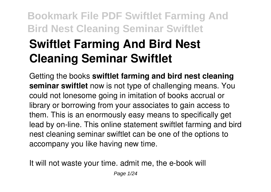# **Bookmark File PDF Swiftlet Farming And Bird Nest Cleaning Seminar Swiftlet Swiftlet Farming And Bird Nest Cleaning Seminar Swiftlet**

Getting the books **swiftlet farming and bird nest cleaning seminar swiftlet** now is not type of challenging means. You could not lonesome going in imitation of books accrual or library or borrowing from your associates to gain access to them. This is an enormously easy means to specifically get lead by on-line. This online statement swiftlet farming and bird nest cleaning seminar swiftlet can be one of the options to accompany you like having new time.

It will not waste your time. admit me, the e-book will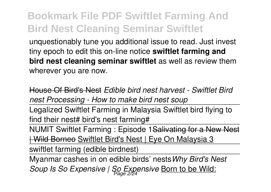unquestionably tune you additional issue to read. Just invest tiny epoch to edit this on-line notice **swiftlet farming and bird nest cleaning seminar swiftlet** as well as review them wherever you are now.

House Of Bird's Nest *Edible bird nest harvest - Swiftlet Bird nest Processing - How to make bird nest soup*

Legalized Swiftlet Farming in Malaysia Swiftlet bird flying to find their nest# bird's nest farming#

NUMIT Swiftlet Farming : Episode 1Salivating for a New Nest | Wild Borneo Swiftlet Bird's Nest | Eye On Malaysia 3

swiftlet farming (edible birdnest)

Myanmar cashes in on edible birds' nests*Why Bird's Nest Soup Is So Expensive | So Expensive* Born to be Wild: Page 2/24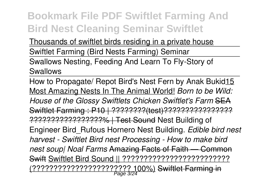Thousands of swiftlet birds residing in a private house Swiftlet Farming (Bird Nests Farming) Seminar Swallows Nesting, Feeding And Learn To Fly-Story of Swallows

How to Propagate/ Repot Bird's Nest Fern by Anak Bukid15 Most Amazing Nests In The Animal World! *Born to be Wild: House of the Glossy Swiftlets Chicken Swiftlet's Farm* SEA Swiftlet Farming : P10 | ????????(test)???????????????? ?????????????????% | Test Sound Nest Building of Engineer Bird\_Rufous Hornero Nest Building. *Edible bird nest harvest - Swiftlet Bird nest Processing - How to make bird nest soup| Noal Farms* Amazing Facts of Faith — Common Swift Swiftlet Bird Sound || ????????????????????????? <u>(???????????????????????????? 100%)</u> S<del>wiftlet Farming in</del><br>Page 3/24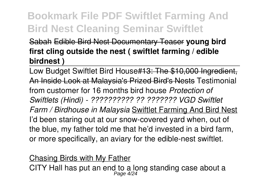#### Sabah Edible Bird Nest Documentary Teaser **young bird first cling outside the nest ( swiftlet farming / edible birdnest )**

Low Budget Swiftlet Bird House#13: The \$10,000 Ingredient, An Inside Look at Malaysia's Prized Bird's Nests Testimonial from customer for 16 months bird house *Protection of Swiftlets (Hindi) - ?????????? ?? ??????? VGD Swiftlet Farm / Birdhouse in Malaysia* Swiftlet Farming And Bird Nest I'd been staring out at our snow-covered yard when, out of the blue, my father told me that he'd invested in a bird farm, or more specifically, an aviary for the edible-nest swiftlet.

#### Chasing Birds with My Father

CITY Hall has put an end to a long standing case about a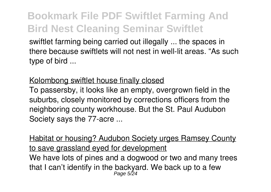swiftlet farming being carried out illegally ... the spaces in there because swiftlets will not nest in well-lit areas. "As such type of bird ...

#### Kolombong swiftlet house finally closed

To passersby, it looks like an empty, overgrown field in the suburbs, closely monitored by corrections officers from the neighboring county workhouse. But the St. Paul Audubon Society says the 77-acre ...

Habitat or housing? Audubon Society urges Ramsey County to save grassland eyed for development We have lots of pines and a dogwood or two and many trees that I can't identify in the backyard. We back up to a few<br>Page 5/24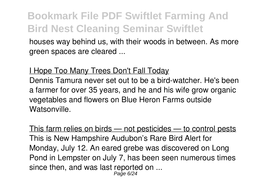houses way behind us, with their woods in between. As more green spaces are cleared ...

#### I Hope Too Many Trees Don't Fall Today

Dennis Tamura never set out to be a bird-watcher. He's been a farmer for over 35 years, and he and his wife grow organic vegetables and flowers on Blue Heron Farms outside Watsonville.

This farm relies on birds — not pesticides — to control pests This is New Hampshire Audubon's Rare Bird Alert for Monday, July 12. An eared grebe was discovered on Long Pond in Lempster on July 7, has been seen numerous times since then, and was last reported on ... Page 6/24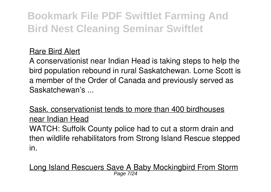#### Rare Bird Alert

A conservationist near Indian Head is taking steps to help the bird population rebound in rural Saskatchewan. Lorne Scott is a member of the Order of Canada and previously served as Saskatchewan's ...

Sask. conservationist tends to more than 400 birdhouses near Indian Head

WATCH: Suffolk County police had to cut a storm drain and then wildlife rehabilitators from Strong Island Rescue stepped in.

Long Island Rescuers Save A Baby Mockingbird From Storm Page 7/24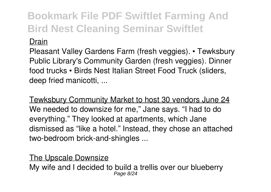#### Drain

Pleasant Valley Gardens Farm (fresh veggies). • Tewksbury Public Library's Community Garden (fresh veggies). Dinner food trucks • Birds Nest Italian Street Food Truck (sliders, deep fried manicotti, ...

Tewksbury Community Market to host 30 vendors June 24 We needed to downsize for me," Jane says. "I had to do everything." They looked at apartments, which Jane dismissed as "like a hotel." Instead, they chose an attached two-bedroom brick-and-shingles ...

#### The Upscale Downsize

My wife and I decided to build a trellis over our blueberry Page 8/24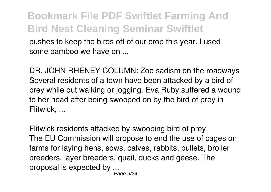bushes to keep the birds off of our crop this year. I used some bamboo we have on ...

DR. JOHN RHENEY COLUMN: Zoo sadism on the roadways Several residents of a town have been attacked by a bird of prey while out walking or jogging. Eva Ruby suffered a wound to her head after being swooped on by the bird of prey in Flitwick, ...

Flitwick residents attacked by swooping bird of prey The EU Commission will propose to end the use of cages on farms for laying hens, sows, calves, rabbits, pullets, broiler breeders, layer breeders, quail, ducks and geese. The proposal is expected by ...<br><sup>249 Page</sup>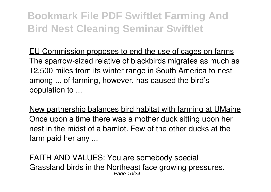EU Commission proposes to end the use of cages on farms The sparrow-sized relative of blackbirds migrates as much as 12,500 miles from its winter range in South America to nest among ... of farming, however, has caused the bird's population to ...

New partnership balances bird habitat with farming at UMaine Once upon a time there was a mother duck sitting upon her nest in the midst of a bamlot. Few of the other ducks at the farm paid her any ...

FAITH AND VALUES: You are somebody special Grassland birds in the Northeast face growing pressures. Page 10/24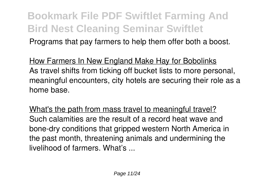Programs that pay farmers to help them offer both a boost.

How Farmers In New England Make Hay for Bobolinks As travel shifts from ticking off bucket lists to more personal, meaningful encounters, city hotels are securing their role as a home base.

What's the path from mass travel to meaningful travel? Such calamities are the result of a record heat wave and bone-dry conditions that gripped western North America in the past month, threatening animals and undermining the livelihood of farmers. What's ...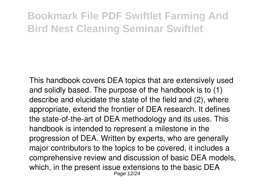This handbook covers DEA topics that are extensively used and solidly based. The purpose of the handbook is to (1) describe and elucidate the state of the field and (2), where appropriate, extend the frontier of DEA research. It defines the state-of-the-art of DEA methodology and its uses. This handbook is intended to represent a milestone in the progression of DEA. Written by experts, who are generally major contributors to the topics to be covered, it includes a comprehensive review and discussion of basic DEA models, which, in the present issue extensions to the basic DEA Page 12/24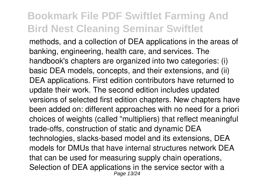methods, and a collection of DEA applications in the areas of banking, engineering, health care, and services. The handbook's chapters are organized into two categories: (i) basic DEA models, concepts, and their extensions, and (ii) DEA applications. First edition contributors have returned to update their work. The second edition includes updated versions of selected first edition chapters. New chapters have been added on: different approaches with no need for a priori choices of weights (called "multipliers) that reflect meaningful trade-offs, construction of static and dynamic DEA technologies, slacks-based model and its extensions, DEA models for DMUs that have internal structures network DEA that can be used for measuring supply chain operations, Selection of DEA applications in the service sector with a Page 13/24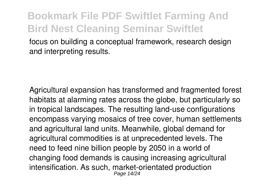focus on building a conceptual framework, research design and interpreting results.

Agricultural expansion has transformed and fragmented forest habitats at alarming rates across the globe, but particularly so in tropical landscapes. The resulting land-use configurations encompass varying mosaics of tree cover, human settlements and agricultural land units. Meanwhile, global demand for agricultural commodities is at unprecedented levels. The need to feed nine billion people by 2050 in a world of changing food demands is causing increasing agricultural intensification. As such, market-orientated production Page 14/24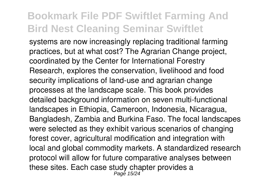systems are now increasingly replacing traditional farming practices, but at what cost? The Agrarian Change project, coordinated by the Center for International Forestry Research, explores the conservation, livelihood and food security implications of land-use and agrarian change processes at the landscape scale. This book provides detailed background information on seven multi-functional landscapes in Ethiopia, Cameroon, Indonesia, Nicaragua, Bangladesh, Zambia and Burkina Faso. The focal landscapes were selected as they exhibit various scenarios of changing forest cover, agricultural modification and integration with local and global commodity markets. A standardized research protocol will allow for future comparative analyses between these sites. Each case study chapter provides a Page 15/24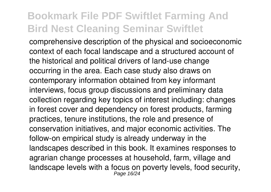comprehensive description of the physical and socioeconomic context of each focal landscape and a structured account of the historical and political drivers of land-use change occurring in the area. Each case study also draws on contemporary information obtained from key informant interviews, focus group discussions and preliminary data collection regarding key topics of interest including: changes in forest cover and dependency on forest products, farming practices, tenure institutions, the role and presence of conservation initiatives, and major economic activities. The follow-on empirical study is already underway in the landscapes described in this book. It examines responses to agrarian change processes at household, farm, village and landscape levels with a focus on poverty levels, food security,<br> $P_{\text{age 16/24}}$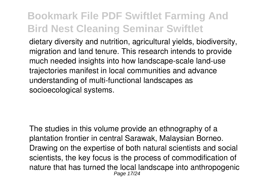dietary diversity and nutrition, agricultural yields, biodiversity, migration and land tenure. This research intends to provide much needed insights into how landscape-scale land-use trajectories manifest in local communities and advance understanding of multi-functional landscapes as socioecological systems.

The studies in this volume provide an ethnography of a plantation frontier in central Sarawak, Malaysian Borneo. Drawing on the expertise of both natural scientists and social scientists, the key focus is the process of commodification of nature that has turned the local landscape into anthropogenic Page 17/24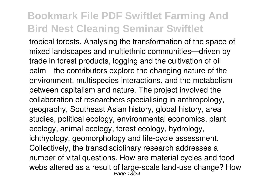tropical forests. Analysing the transformation of the space of mixed landscapes and multiethnic communities—driven by trade in forest products, logging and the cultivation of oil palm—the contributors explore the changing nature of the environment, multispecies interactions, and the metabolism between capitalism and nature. The project involved the collaboration of researchers specialising in anthropology, geography, Southeast Asian history, global history, area studies, political ecology, environmental economics, plant ecology, animal ecology, forest ecology, hydrology, ichthyology, geomorphology and life-cycle assessment. Collectively, the transdisciplinary research addresses a number of vital questions. How are material cycles and food webs altered as a result of large-scale land-use change? How<br>Page 18/24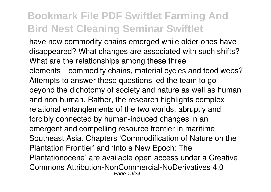have new commodity chains emerged while older ones have disappeared? What changes are associated with such shifts? What are the relationships among these three elements—commodity chains, material cycles and food webs? Attempts to answer these questions led the team to go beyond the dichotomy of society and nature as well as human and non-human. Rather, the research highlights complex relational entanglements of the two worlds, abruptly and forcibly connected by human-induced changes in an emergent and compelling resource frontier in maritime Southeast Asia. Chapters 'Commodification of Nature on the Plantation Frontier' and 'Into a New Epoch: The Plantationocene' are available open access under a Creative Commons Attribution-NonCommercial-NoDerivatives 4.0 Page 19/24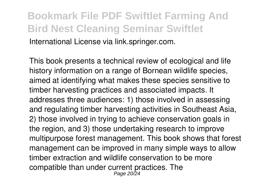#### **Bookmark File PDF Swiftlet Farming And Bird Nest Cleaning Seminar Swiftlet** International License via link.springer.com.

This book presents a technical review of ecological and life history information on a range of Bornean wildlife species, aimed at identifying what makes these species sensitive to timber harvesting practices and associated impacts. It addresses three audiences: 1) those involved in assessing and regulating timber harvesting activities in Southeast Asia, 2) those involved in trying to achieve conservation goals in the region, and 3) those undertaking research to improve multipurpose forest management. This book shows that forest management can be improved in many simple ways to allow timber extraction and wildlife conservation to be more compatible than under current practices. The Page 20/24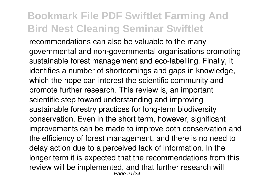recommendations can also be valuable to the many governmental and non-governmental organisations promoting sustainable forest management and eco-labelling. Finally, it identifies a number of shortcomings and gaps in knowledge, which the hope can interest the scientific community and promote further research. This review is, an important scientific step toward understanding and improving sustainable forestry practices for long-term biodiversity conservation. Even in the short term, however, significant improvements can be made to improve both conservation and the efficiency of forest management, and there is no need to delay action due to a perceived lack of information. In the longer term it is expected that the recommendations from this review will be implemented, and that further research will Page 21/24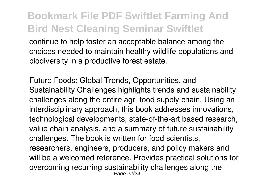continue to help foster an acceptable balance among the choices needed to maintain healthy wildlife populations and biodiversity in a productive forest estate.

Future Foods: Global Trends, Opportunities, and Sustainability Challenges highlights trends and sustainability challenges along the entire agri-food supply chain. Using an interdisciplinary approach, this book addresses innovations, technological developments, state-of-the-art based research, value chain analysis, and a summary of future sustainability challenges. The book is written for food scientists, researchers, engineers, producers, and policy makers and will be a welcomed reference. Provides practical solutions for overcoming recurring sustainability challenges along the Page 22/24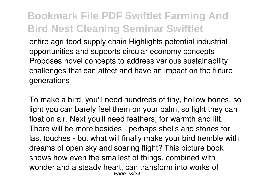entire agri-food supply chain Highlights potential industrial opportunities and supports circular economy concepts Proposes novel concepts to address various sustainability challenges that can affect and have an impact on the future generations

To make a bird, you'll need hundreds of tiny, hollow bones, so light you can barely feel them on your palm, so light they can float on air. Next you'll need feathers, for warmth and lift. There will be more besides - perhaps shells and stones for last touches - but what will finally make your bird tremble with dreams of open sky and soaring flight? This picture book shows how even the smallest of things, combined with wonder and a steady heart, can transform into works of Page 23/24